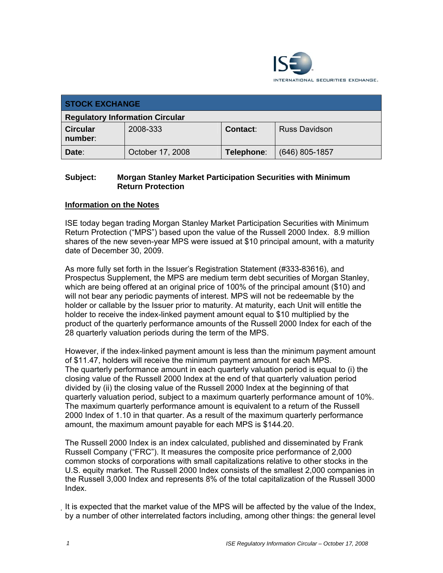

| <b>STOCK EXCHANGE</b>                  |                  |            |                      |  |
|----------------------------------------|------------------|------------|----------------------|--|
| <b>Regulatory Information Circular</b> |                  |            |                      |  |
| <b>Circular</b><br>number:             | 2008-333         | Contact:   | <b>Russ Davidson</b> |  |
| Date:                                  | October 17, 2008 | Telephone: | $(646)$ 805-1857     |  |

## **Subject: Morgan Stanley Market Participation Securities with Minimum Return Protection**

## **Information on the Notes**

ISE today began trading Morgan Stanley Market Participation Securities with Minimum Return Protection ("MPS") based upon the value of the Russell 2000 Index. 8.9 million shares of the new seven-year MPS were issued at \$10 principal amount, with a maturity date of December 30, 2009.

As more fully set forth in the Issuer's Registration Statement (#333-83616), and Prospectus Supplement, the MPS are medium term debt securities of Morgan Stanley, which are being offered at an original price of 100% of the principal amount (\$10) and will not bear any periodic payments of interest. MPS will not be redeemable by the holder or callable by the Issuer prior to maturity. At maturity, each Unit will entitle the holder to receive the index-linked payment amount equal to \$10 multiplied by the product of the quarterly performance amounts of the Russell 2000 Index for each of the 28 quarterly valuation periods during the term of the MPS.

However, if the index-linked payment amount is less than the minimum payment amount of \$11.47, holders will receive the minimum payment amount for each MPS. The quarterly performance amount in each quarterly valuation period is equal to (i) the closing value of the Russell 2000 Index at the end of that quarterly valuation period divided by (ii) the closing value of the Russell 2000 Index at the beginning of that quarterly valuation period, subject to a maximum quarterly performance amount of 10%. The maximum quarterly performance amount is equivalent to a return of the Russell 2000 Index of 1.10 in that quarter. As a result of the maximum quarterly performance amount, the maximum amount payable for each MPS is \$144.20.

The Russell 2000 Index is an index calculated, published and disseminated by Frank Russell Company ("FRC"). It measures the composite price performance of 2,000 common stocks of corporations with small capitalizations relative to other stocks in the U.S. equity market. The Russell 2000 Index consists of the smallest 2,000 companies in the Russell 3,000 Index and represents 8% of the total capitalization of the Russell 3000 Index.

It is expected that the market value of the MPS will be affected by the value of the Index, by a number of other interrelated factors including, among other things: the general level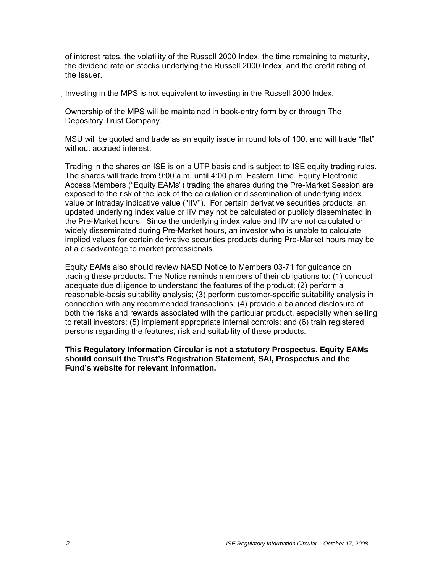of interest rates, the volatility of the Russell 2000 Index, the time remaining to maturity, the dividend rate on stocks underlying the Russell 2000 Index, and the credit rating of the Issuer.

Investing in the MPS is not equivalent to investing in the Russell 2000 Index.

Ownership of the MPS will be maintained in book-entry form by or through The Depository Trust Company.

MSU will be quoted and trade as an equity issue in round lots of 100, and will trade "flat" without accrued interest.

Trading in the shares on ISE is on a UTP basis and is subject to ISE equity trading rules. The shares will trade from 9:00 a.m. until 4:00 p.m. Eastern Time. Equity Electronic Access Members ("Equity EAMs") trading the shares during the Pre-Market Session are exposed to the risk of the lack of the calculation or dissemination of underlying index value or intraday indicative value ("IIV"). For certain derivative securities products, an updated underlying index value or IIV may not be calculated or publicly disseminated in the Pre-Market hours. Since the underlying index value and IIV are not calculated or widely disseminated during Pre-Market hours, an investor who is unable to calculate implied values for certain derivative securities products during Pre-Market hours may be at a disadvantage to market professionals.

Equity EAMs also should review NASD Notice to Members 03-71 for guidance on trading these products. The Notice reminds members of their obligations to: (1) conduct adequate due diligence to understand the features of the product; (2) perform a reasonable-basis suitability analysis; (3) perform customer-specific suitability analysis in connection with any recommended transactions; (4) provide a balanced disclosure of both the risks and rewards associated with the particular product, especially when selling to retail investors; (5) implement appropriate internal controls; and (6) train registered persons regarding the features, risk and suitability of these products.

**This Regulatory Information Circular is not a statutory Prospectus. Equity EAMs should consult the Trust's Registration Statement, SAI, Prospectus and the Fund's website for relevant information.**